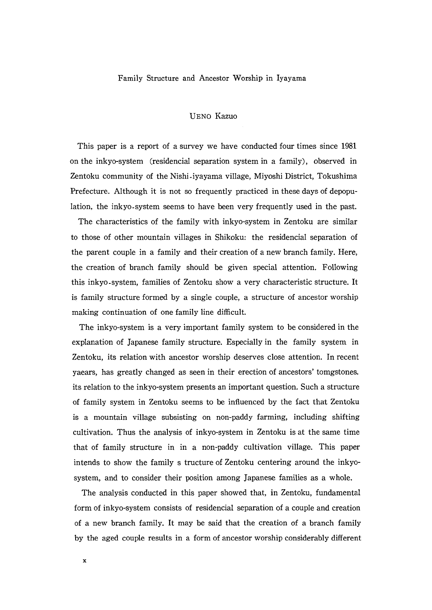## Family Structure and Ancestor Worship in Iyayama

## UENo Kazuo

 This paper is a report of a survey we have conducted four times since 1981 0n the inkyo-system (residencial separation system in a family), observed in Zentoku community of the Nishi.iyayama village, Miyoshi District, Tokushima Prefecture. Although it is not so frequently practiced in these days of depopu lation, the inkyo.system seems to have been very frequently used in the past.

 The characteristics of the family with inkyo-system in Zentoku are similar to those of other mountain villages in Shikoku: the residencial separation of the parent couple in a family and their creation of a new branch family. Here, the creation of branch family should be given special attention. Following this inkyo.system, families of Zentoku show a very characteristic structure. It is family structure formed by a single couple, a structure of ancestor worship making continuation of one family line difficult.

The inkyo-system is a very important family system to be considered in the explanation of Japanese family structure. Especially in the family system in Zentoku, its relation with ancestor worship deserves close attention. In recent yaears, has greatly changed as seen in their erection of ancestors'tomgstones. its relation to the inkyo-system presents an important question. Such a structure of family system in Zentoku seems to be influenced by the fact that Zentoku is a mountain village subsisting on non-paddy farming, including shifting cultivation. Thus the analysis of inkyo-system in Zentoku is at the same time that of family structure in in a non-paddy cultivation village. This paper intends to show the family s tructure of Zentoku centering around the inkyo system, and to consider their position among Japanese families as a whole.

The analysis conducted in this paper showed that, in Zentoku, fundamental form of inkyo-system consists of residencial separation of a couple and creation of a new branch family. It may be said that the creation of a branch family by the aged couple results in a form of ancestor worship considerably different